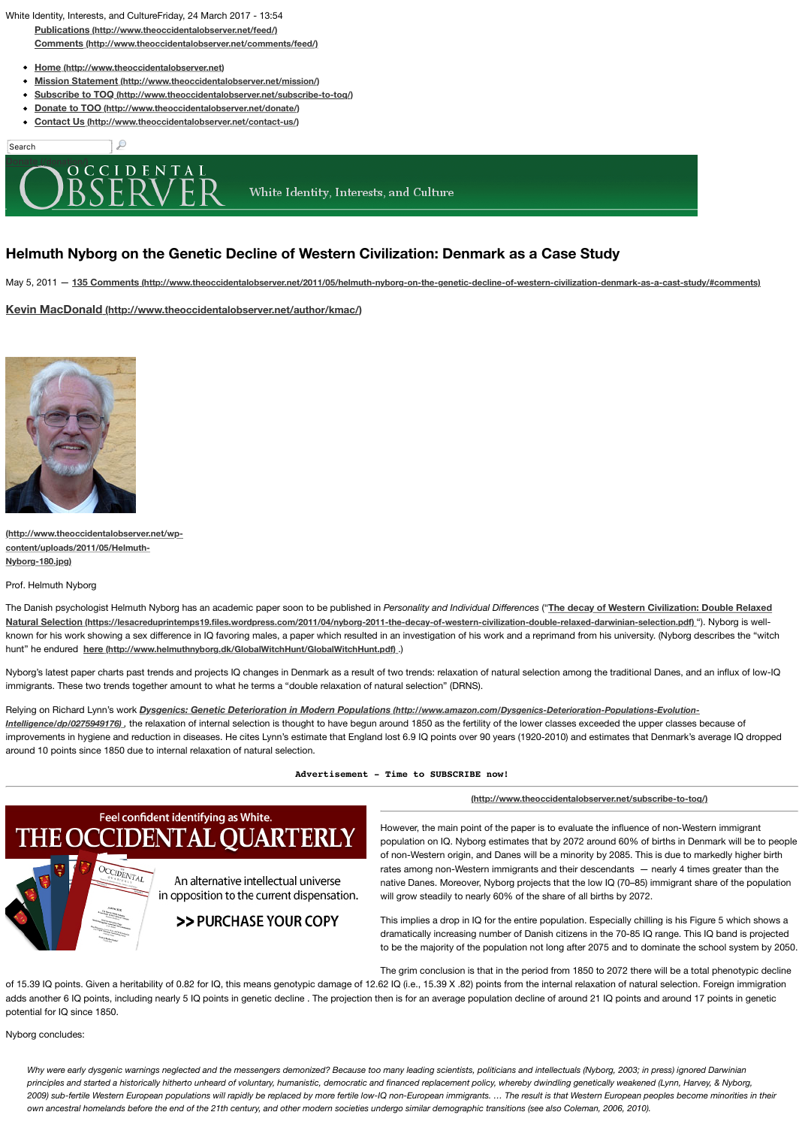#### **Nyborg-180.jpg)**

Prof. [Helmuth Nyborg](http://www.theoccidentalobserver.net/feed/)

The D[anish psychologist Helmuth Nyborg has an academic paper soon to b](http://www.theoccidentalobserver.net/comments/feed/)e published in *Personality and* **Natur[al Selection \(https://lesacreduprintemps19.file](http://www.theoccidentalobserver.net/)s.wordpress.com/2011/04/nyborg-2011-the-decay-of** known for his work showing a sex diff[erence in IQ favoring males, a paper w](http://www.theoccidentalobserver.net/mission/)hich resulted in an investigation of hunt" he endured **[here \(http://www.helmuthnyborg.dk/GlobalWitchHunt/GlobalWitch](http://www.theoccidentalobserver.net/subscribe-to-toq/)Hunt.pdf)** .)

Nybor[g's latest paper charts past trends and projects IQ changes in De](http://www.theoccidentalobserver.net/contact-us/)nmark as a result of two trends: r immigrants. These two trends together amount to what he terms a "double relaxation of natural selectior

Relying on Richard Lynn's work *Dysgenics: Genetic Deterioration in Modern Populations (http://www [Intelligence/dp/0275](http://www.theoccidentalobserver.net/donation/)949176)*, the relaxation of internal selection is thought to have begun around 1850 as improvements in hygiene and reduction in diseases. He cites Lynn's estimate that England lost 6.9 IQ po around 10 points since 1850 due to internal relaxation of natural selection.

#### Advertisement - Time to SU

# Feel confident identifying as White. THE OCCIDENTAL QUARTERLY



An alternative intellectual universe in opposition to the current dispensation.

# >> PURCHASE YOUR COPY

However, the r population on of non-Wester rates among n native Danes. will grow stead

This implies a dramatically in to be the majo

The grim conclusion

[of 15.39 IQ points. Given a heritability of 0.](http://www.theoccidentalobserver.net/wp-content/uploads/2011/05/Helmuth-Nyborg-180.jpg)82 for IQ, this means genotypic damage of 12.62 IQ (i.e., 15.3 adds another 6 IQ points, including nearly 5 IQ points in genetic decline . The projection then is for an av potential for IQ since 1850.

Nyborg concludes:

Why were early dysgenic warnings neglected and the messengers demonized? Because too many leading s principles and started a historically hitherto unheard of voluntary, humanistic, democratic and financed repla *2009) sub-fertile Western European populations will rapidly be replaced by more fertile low-IQ non-European immigrants. … The result is that Western European peoples become minorities in their own ancestral homelands before the end of the 21th century, and other modern societies undergo similar de*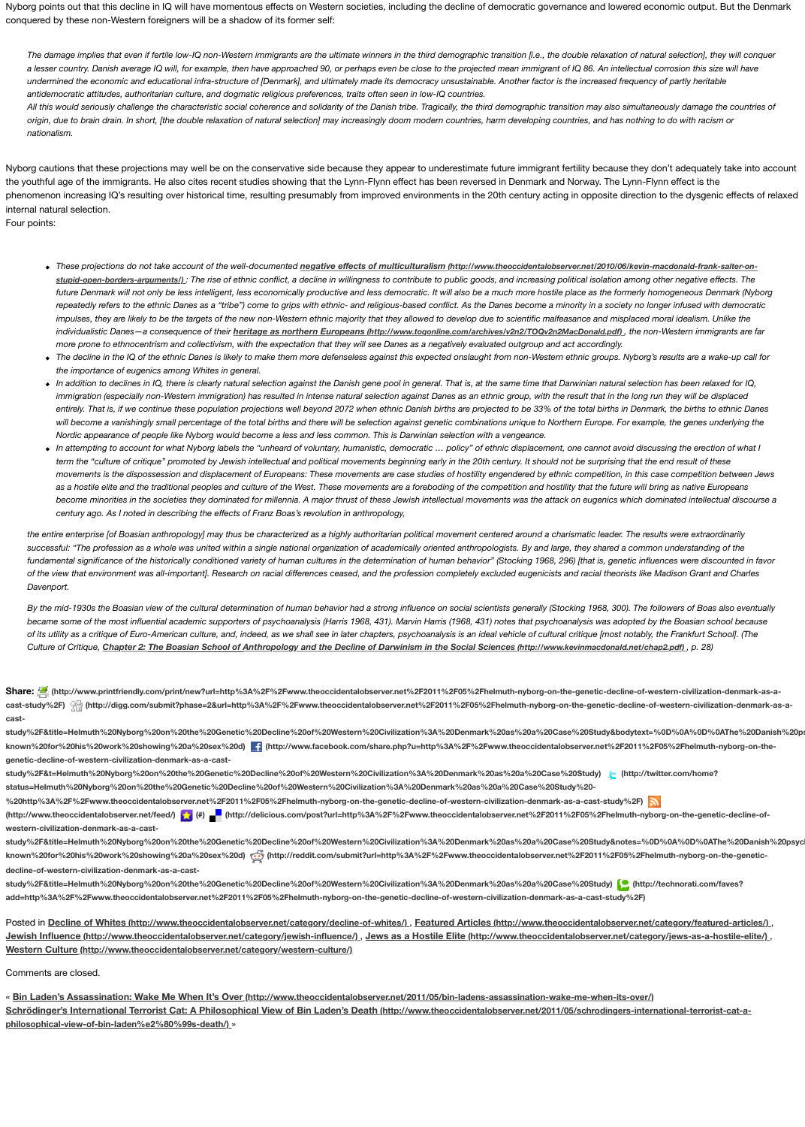fundamental significance of the historically conditioned variety of human cultures in the determination of hur of the view that environment was all-*important]*. Research on racial differences ceased, and the profession c *Davenport.*

*By the mid-1930s the Boasian view of the cultural determination of human behavior had a strong influence on became some of the most influential academic supporters of psychoanalysis (Harris 1968, 431). Marvin Harr* of its utility as a critique of Euro-American culture, and, indeed, as we shall see in later chapters, psychoanal *Culture of Critique, Chapter 2: The Boasian School of Anthropology and the Decline of Darwinism in the Sultiences (http://www.kerinmaclonald.net/charmaclonald.net/chap2.pdf) <b><i>Culture*  $\alpha$ 

Share: (http://www.printfriendly.com/print/new?url=http%3A%2F%2Fwww.theoccidentalobserver.net%2F2011 cast-study%2F) <sup>(</sup> http://digg.com/submit?phase=2&url=http%3A%2F%2Fwww.theoccidentalobserver.net%2F2 **cast-**

study%2F&title=Helmuth%20Nyborg%20on%20the%20Genetic%20Decline%20of%20Western%20Civilization%3A% known%20for%20his%20work%20showing%20a%20sex%20d) **[4]** (http://www.facebook.com/share.php?u=http% **genetic-decline-of-western-civilization-denmark-as-a-cast-**

**study%2F&t=Helmuth%20Nyborg%20on%20the%20Genetic%20Decline%20of%20Western%20Civilization%3A%20Denmark%20as%20a%20Case%20Study) (http://twitter.com/home? status=Helmuth%20Nyborg%20on%20the%20Genetic%20Decline%20of%20Western%20Civilization%3A%20Denmark%20as%20a%20Case%20Study%20-** %20http%3A%2F%2Fwww.theoccidentalobserver.net%2F2011%2F05%2Fhelmuth-nyborg-on-the-genetic-decline-(http://www.theoccidentalobserver.net/feed/) **(#) (#)** (http://delicious.com/post?url=http%3A%2F%2Fwww.the **western-civilization-denmark-as-a-cast-**

study%2F&title=Helmuth%20Nyborg%20on%20the%20Genetic%20Decline%20of%20Western%20Civilization%3A% known%20for%20his%20work%20showing%20a%20sex%20d) (http://reddit.com/submit?url=http%3A%2F% **decline-of-western-civilization-denmark-as-a-cast-**

**study%2F&title=Helmuth%20Nyborg%20on%20the%20Gen[etic%20Decline%20of%20Western%20Civilization%3A%20Denmark%20as%20a%20Case%20Study\)](http://www.toqonline.com/archives/v2n2/TOQv2n2MacDonald.pdf) (http://technorati.com/faves?** add=http%3A%2F%2Fwww.theoccidentalobserver.net%2F2011%2F05%2Fhelmuth-nyborg-on-the-genetic-decline-

Posted in **Decline of Whites (http://www.theoccidentalobserver.net/category/decline-of-whites/), Featu Jewish Influence (http://www.theoccidentalobserver.net/category/jewish-influence/)**, **Jews as a Hostile Western Culture (http://www.theoccidentalobserver.net/category/western-culture/)**

Comments are closed.

« Bin Laden's Assassination: Wake Me When It's Over (http://www.theoccidentalobserver.net/2011/05/ <u>Schrödinger's International Terrorist Cat: A Philosophical View of Bin Laden's Death (http://www.tho</u> **philosophical-view-of-bin-laden%e2%80%99s-death/)** »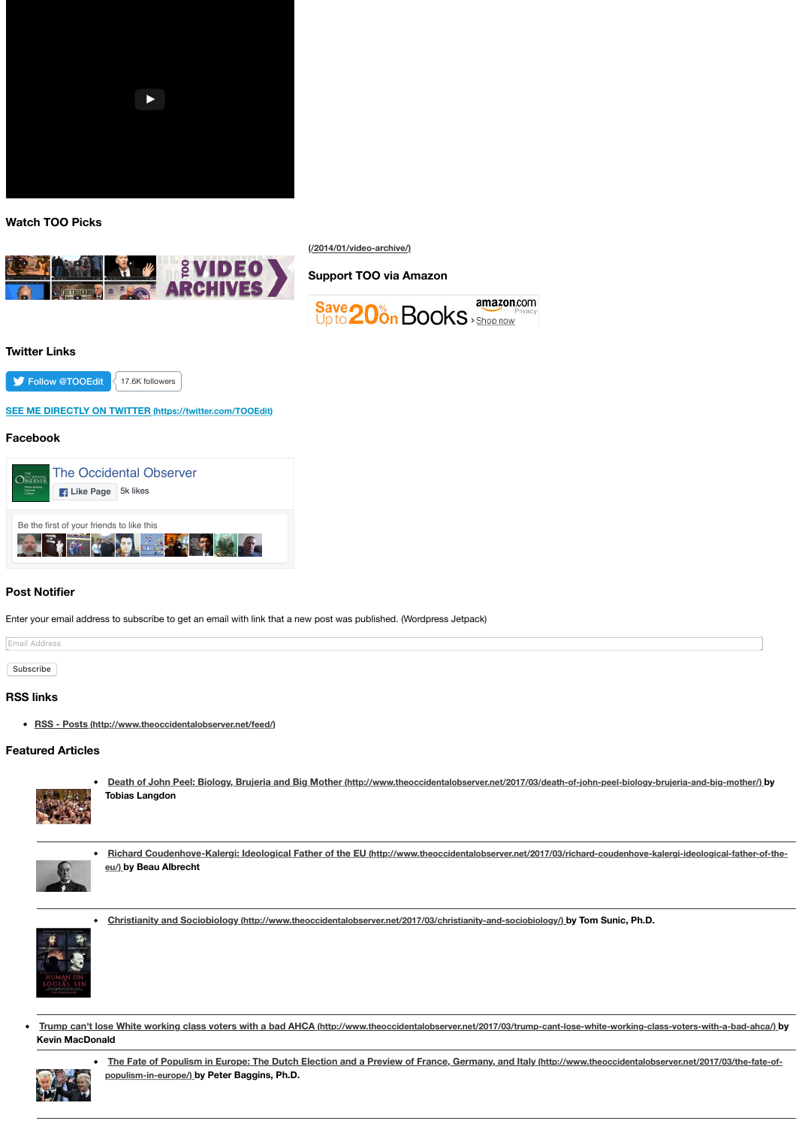

## **Post Notifier**

Enter your email address to subscribe to get an email with link that a new post was published. (Wordpres

Email Address

Subscribe

### **RSS links**

**RSS - Posts (http://www.theoccidentalobserver.net/feed/)**

#### **Featured Articles**



Death of John Peel: Biology, Brujeria and Big Mother (http://www.theocciden **Tobias Langdon**



- **[Richard Coudenhove-Kalergi: Ideological Father of the EU \(http://www](http://www.theoccidentalobserver.net/2014/01/video-archive/).theodorgial-comparently eu/) by Beau Albrecht**
- **Christianity and Sociobiology (http://www.theoccidentalobserver.net/2017/03/d.**



**Tr[ump can't lose White working clas](https://www.facebook.com/The-Occidental-Observer-163767458499/)s voters with a bad AHCA (http://www.theoccidentalobs [Kevin MacDonald](https://www.facebook.com/The-Occidental-Observer-163767458499/)**



**The Fate of Populism in Europe: The Dutch Election and a Preview of France populism-in-europe/) by Peter Baggins, Ph.D.**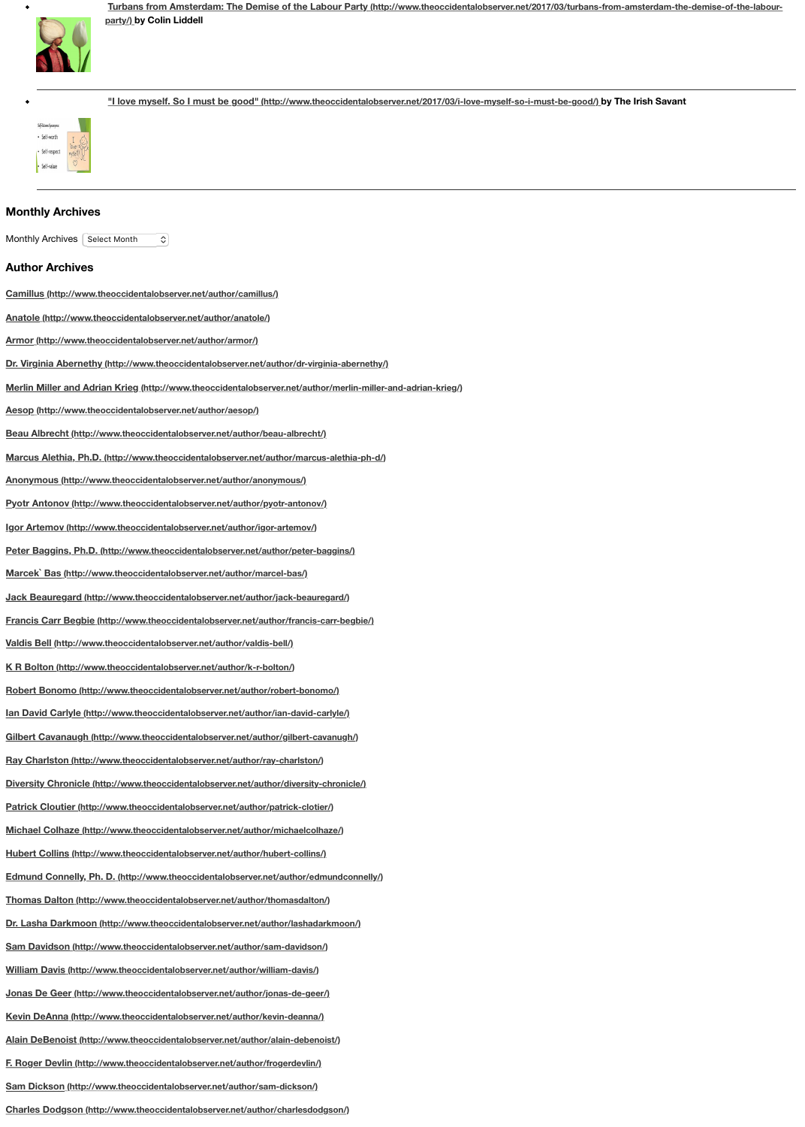**Marcek` Bas (http://www.theoccidentalobserver.net/author/marcel-bas/) Jack Beauregard (http://www.theoccidentalobserver.net/author/jack-beauregard/) Franci[s Carr Begbie \(http://www.theoccidentalobserver.net/author/francis-carr-begbie/\)](http://www.theoccidentalobserver.net/2017/03/turbans-from-amsterdam-the-demise-of-the-labour-party/) Valdis Bell (http://www.theoccidentalobserver.net/author/valdis-bell/) K R Bolton (http://www.theoccidentalobserver.net/author/k-r-bolton/) Robert Bonomo (http://www.theoccidentalobserver.net/author/robert-bonomo/) Ian Da[vid Carlyle \(http://www.theoccidentalobserver.net/author/ian-david-carlyle/\)](http://www.theoccidentalobserver.net/2017/03/i-love-myself-so-i-must-be-good/) Gilbert Cavanaugh (http://www.theoccidentalobserver.net/author/gilbert-cavanugh/) Ray Charlston (http://www.theoccidentalobserver.net/author/ray-charlston/) Diversity Chronicle (http://www.theoccidentalobserver.net/author/diversity-chronicle/) Patrick Cloutier (http://www.theoccidentalobserver.net/author/patrick-clotier/) Michael Colhaze (http://www.theoccidentalobserver.net/author/michaelcolhaze/) [Hubert Collins \(http://www.theoccidentalobserver.net/author/hub](http://www.theoccidentalobserver.net/author/camillus/)ert-collins/) [Edmund Connelly, Ph. D. \(http://www.theoccidentalobserver.ne](http://www.theoccidentalobserver.net/author/anatole/)t/author/edmundconnelly/) [Thomas Dalton \(http://www.theoccidentalobserver.net/autho](http://www.theoccidentalobserver.net/author/armor/)r/thomasdalton/) [Dr. Lasha Darkmoon \(http://www.theoccidentalobserver.net/author/lashadarkmoon/\)](http://www.theoccidentalobserver.net/author/dr-virginia-abernethy/) [Sam Davidson \(http://www.theoccidentalobserver.net/author/sam-davidson/\)](http://www.theoccidentalobserver.net/author/merlin-miller-and-adrian-krieg/) [William Davis \(http://www.theoccidentalobserver.net/author/](http://www.theoccidentalobserver.net/author/aesop/)william-davis/) [Jonas De Geer \(http://www.theoccidentalobserver.net/author/jonas-de-geer/](http://www.theoccidentalobserver.net/author/beau-albrecht/)) [Kevin DeAnna \(http://www.theoccidentalobserver.net/author/kevin-deanna/\)](http://www.theoccidentalobserver.net/author/marcus-alethia-ph-d/) [Alain DeBenoist \(http://www.theoccidentalobserver.net/author/alain-deb](http://www.theoccidentalobserver.net/author/anonymous/)enoist/) [F. Roger Devlin \(http://www.theoccidentalobserver.net/author/frogerdevlin/\)](http://www.theoccidentalobserver.net/author/pyotr-antonov/) [Sam Dickson \(http://www.theoccidentalobserver.net/author/sam-dickson/\)](http://www.theoccidentalobserver.net/author/igor-artemov/) [Charles Dodgson \(http://www.theoccidentalobserver.net/author/charlesdodgson/\)](http://www.theoccidentalobserver.net/author/peter-baggins/)**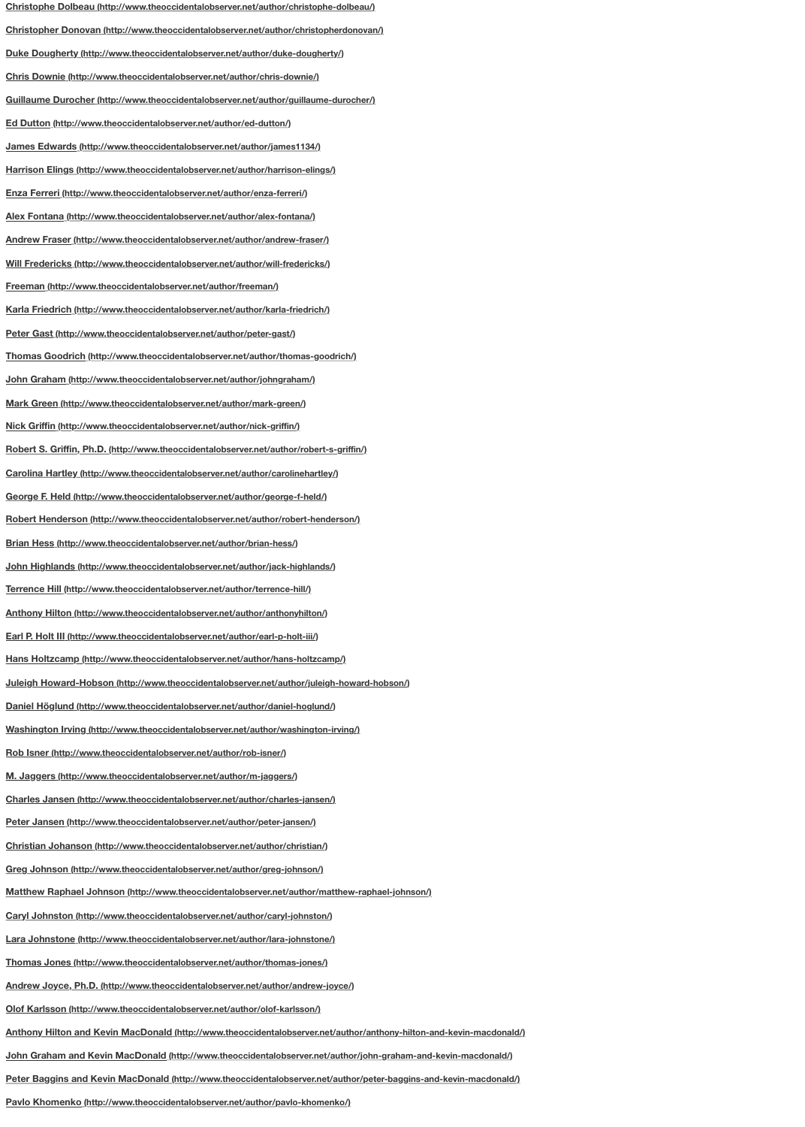**[John Highlands \(http://www.theoccidentalobserver.net/author/jack-highlands/\)](http://www.theoccidentalobserver.net/author/christophe-dolbeau/) [Terrence Hill \(http://www.theoccidentalobserver.net/author/terrence-hill/\)](http://www.theoccidentalobserver.net/author/christopherdonovan/) [Anthony Hilton \(http://www.theoccidentalobserver.net/author/anthonyhilton/\)](http://www.theoccidentalobserver.net/author/duke-dougherty/) [Earl P. Holt III \(http://www.theoccidentalobserver.net/author/earl-p-holt-iii/\)](http://www.theoccidentalobserver.net/author/chris-downie/) [Hans Holtzcamp \(http://www.theoccidentalobserver.net/author/hans-holtzcamp/\)](http://www.theoccidentalobserver.net/author/guillaume-durocher/) [Juleigh Howard-Hobson \(http://www.theoccidentalobserver.net/auth](http://www.theoccidentalobserver.net/author/ed-dutton/)or/juleigh-howard-hobson/) [Daniel Höglund \(http://www.theoccidentalobserver.net/author/daniel-hoglun](http://www.theoccidentalobserver.net/author/james1134/)d/) [Washington Irving \(http://www.theoccidentalobserver.net/author/washington-ir](http://www.theoccidentalobserver.net/author/harrison-elings/)ving/) [Rob Isner \(http://www.theoccidentalobserver.net/author/rob-isner/\)](http://www.theoccidentalobserver.net/author/enza-ferreri/) [M. Jaggers \(http://www.theoccidentalobserver.net/author/m-jaggers/\)](http://www.theoccidentalobserver.net/author/alex-fontana/) [Charles Jansen \(http://www.theoccidentalobserver.net/author/charles-jansen](http://www.theoccidentalobserver.net/author/andrew-fraser/)/) [Peter Jansen \(http://www.theoccidentalobserver.net/author/peter-jansen/\)](http://www.theoccidentalobserver.net/author/will-fredericks/) [Christian Johanson \(http://www.theoccidentalobserver.net/autho](http://www.theoccidentalobserver.net/author/freeman/)r/christian/) [Greg Johnson \(http://www.theoccidentalobserver.net/author/greg-johnson/\)](http://www.theoccidentalobserver.net/author/karla-friedrich/) [Matthew Raphael Johnson \(http://www.theoccidentalobserver.net/au](http://www.theoccidentalobserver.net/author/peter-gast/)thor/matthew-raphael-johnson/) [Caryl Johnston \(http://www.theoccidentalobserver.net/author/caryl-johnston/\)](http://www.theoccidentalobserver.net/author/thomas-goodrich/) [Lara Johnstone \(http://www.theoccidentalobserver.net/author/lara-johnsto](http://www.theoccidentalobserver.net/author/johngraham/)ne/) [Thomas Jones \(http://www.theoccidentalobserver.net/author/thomas-jo](http://www.theoccidentalobserver.net/author/mark-green/)nes/) [Andrew Joyce, Ph.D. \(http://www.theoccidentalobserver.net/author/an](http://www.theoccidentalobserver.net/author/nick-griffin/)drew-joyce/) [Olof Karlsson \(http://www.theoccidentalobserver.net/author/olof-karlsson/\)](http://www.theoccidentalobserver.net/author/robert-s-griffin/) [Anthony Hilton and Kevin MacDonald \(http://www.theoccidentalobserver.net/a](http://www.theoccidentalobserver.net/author/carolinehartley/)uthor/anthony-hilton-and-kevin-macdonald/) [John Graham and Kevin MacDonald \(http://www.theoccidentalobserver.net/](http://www.theoccidentalobserver.net/author/george-f-held/)author/john-graham-and-k [Peter Baggins and Kevin MacDonald \(http://www.theoccidentalobserver.net/author/](http://www.theoccidentalobserver.net/author/robert-henderson/)peter-baggins-and-[Pavlo Khomenko \(http://www.theoccidentalobserver.net/author/pavlo](http://www.theoccidentalobserver.net/author/brian-hess/)-khomenko/)**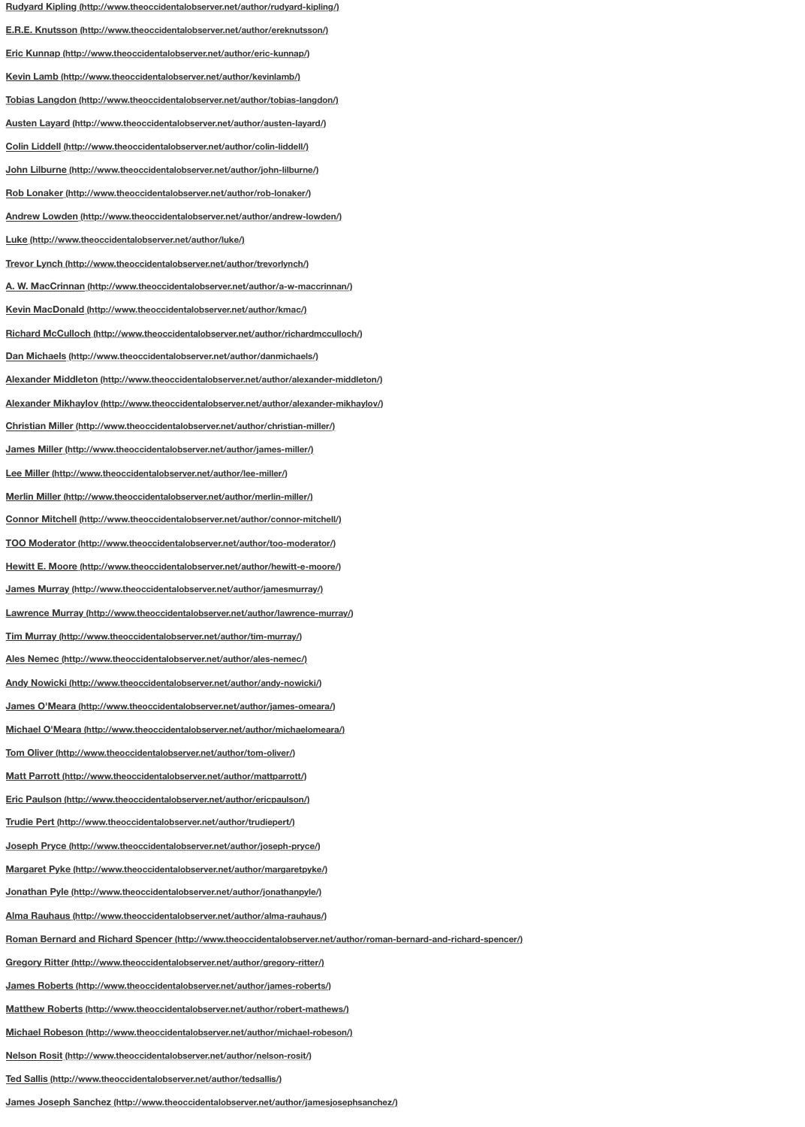**[Hewitt E. Moore \(http://www.theoccidentalobserver.net/author/hewitt-e-moore/\)](http://www.theoccidentalobserver.net/author/rudyard-kipling/) [James Murray \(http://www.theoccidentalobserver.net/author/jamesmurray/\)](http://www.theoccidentalobserver.net/author/ereknutsson/) [Lawrence Murray \(http://www.theoccidentalobserver.net/author/lawrenc](http://www.theoccidentalobserver.net/author/eric-kunnap/)e-murray/) [Tim Murray \(http://www.theoccidentalobserver.net/author/tim-murray/\)](http://www.theoccidentalobserver.net/author/kevinlamb/) [Ales Nemec \(http://www.theoccidentalobserver.net/author/ales-nemec/\)](http://www.theoccidentalobserver.net/author/tobias-langdon/) [Andy Nowicki \(http://www.theoccidentalobserver.net/author/andy-nowicki/\)](http://www.theoccidentalobserver.net/author/austen-layard/) [James O'Meara \(http://www.theoccidentalobserver.net/author/james-om](http://www.theoccidentalobserver.net/author/colin-liddell/)eara/) [Michael O'Meara \(http://www.theoccidentalobserver.net/author/michaelom](http://www.theoccidentalobserver.net/author/john-lilburne/)eara/) [Tom Oliver \(http://www.theoccidentalobserver.net/author/tom-oliver/\)](http://www.theoccidentalobserver.net/author/rob-lonaker/) [Matt Parrott \(http://www.theoccidentalobserver.net/author/mattparrott/\)](http://www.theoccidentalobserver.net/author/andrew-lowden/) [Eric Paulson \(http://www.theoccidentalobserver.net/autho](http://www.theoccidentalobserver.net/author/luke/)r/ericpaulson/) [Trudie Pert \(http://www.theoccidentalobserver.net/author/trudiepert/\)](http://www.theoccidentalobserver.net/author/trevorlynch/) [Joseph Pryce \(http://www.theoccidentalobserver.net/author/joseph-pryce/\)](http://www.theoccidentalobserver.net/author/a-w-maccrinnan/) [Margaret Pyke \(http://www.theoccidentalobserver.net/author/margaretp](http://www.theoccidentalobserver.net/author/kmac/)yke/) [Jonathan Pyle \(http://www.theoccidentalobserver.net/author/jonathanpyle/\)](http://www.theoccidentalobserver.net/author/richardmcculloch/) [Alma Rauhaus \(http://www.theoccidentalobserver.net/author/alma-rauhaus](http://www.theoccidentalobserver.net/author/danmichaels/)/) [Roman Bernard and Richard Spencer \(http://www.theoccidentalobserver.net/author/rom](http://www.theoccidentalobserver.net/author/alexander-middleton/)an-bernard-and-richarge 120 [Gregory Ritter \(http://www.theoccidentalobserver.net/author/gregory-ritter/\)](http://www.theoccidentalobserver.net/author/alexander-mikhaylov/) [James Roberts \(http://www.theoccidentalobserver.net/author/james-roberts/\)](http://www.theoccidentalobserver.net/author/christian-miller/) [Matthew Roberts \(http://www.theoccidentalobserver.net/author/robert-ma](http://www.theoccidentalobserver.net/author/james-miller/)thews/) [Michael Robeson \(http://www.theoccidentalobserver.net/author/mic](http://www.theoccidentalobserver.net/author/lee-miller/)hael-robeson/) [Nelson Rosit \(http://www.theoccidentalobserver.net/author/nelson-rosit/\)](http://www.theoccidentalobserver.net/author/merlin-miller/) [Ted Sallis \(http://www.theoccidentalobserver.net/author/tedsallis/\)](http://www.theoccidentalobserver.net/author/connor-mitchell/)**

**[James Joseph Sanchez \(http://www.theoccidentalobserver.net/author/jamesjo](http://www.theoccidentalobserver.net/author/too-moderator/)sephsanchez/)**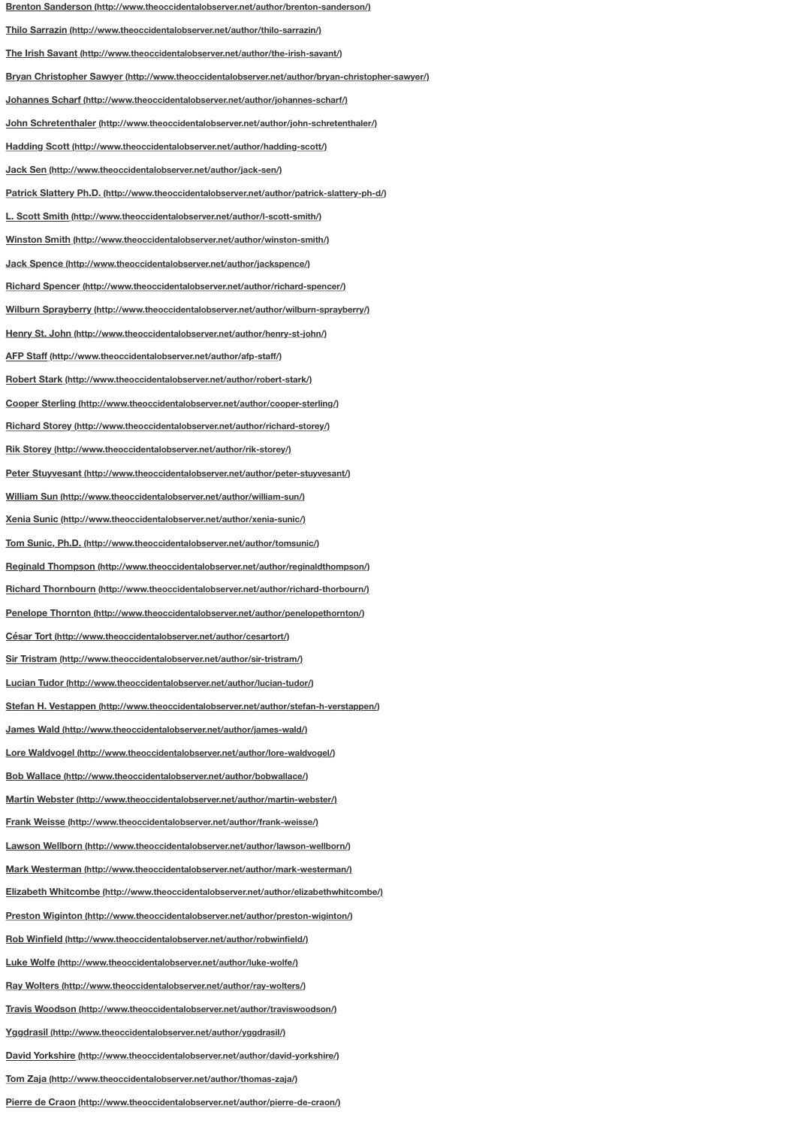**[Reginald Thompson \(http://www.theoccidentalobserver.net/author/reginaldthompson/\)](http://www.theoccidentalobserver.net/author/brenton-sanderson/) [Richard Thornbourn \(http://www.theoccidentalobserver.net/author/richard-](http://www.theoccidentalobserver.net/author/thilo-sarrazin/)thorbourn/) [Penelope Thornton \(http://www.theoccidentalobserver.net/author/penelopethorn](http://www.theoccidentalobserver.net/author/the-irish-savant/)ton/) [César Tort \(http://www.theoccidentalobserver.net/author/cesartort/\)](http://www.theoccidentalobserver.net/author/bryan-christopher-sawyer/) [Sir Tristram \(http://www.theoccidentalobserver.net/author/sir-tristram/\)](http://www.theoccidentalobserver.net/author/johannes-scharf/) [Lucian Tudor \(http://www.theoccidentalobserver.net/author/lucian-tudor/\)](http://www.theoccidentalobserver.net/author/john-schretenthaler/) [Stefan H. Vestappen \(http://www.theoccidentalobserver.net/author/stefan-h-](http://www.theoccidentalobserver.net/author/hadding-scott/)verstappen/) [James Wald \(http://www.theoccidentalobserver.net/author/james-](http://www.theoccidentalobserver.net/author/jack-sen/)wald/) [Lore Waldvogel \(http://www.theoccidentalobserver.net/author/lore-waldvogel/\)](http://www.theoccidentalobserver.net/author/patrick-slattery-ph-d/) [Bob Wallace \(http://www.theoccidentalobserver.net/author/bobwallace/\)](http://www.theoccidentalobserver.net/author/l-scott-smith/) [Martin Webster \(http://www.theoccidentalobserver.net/author/martin-webster](http://www.theoccidentalobserver.net/author/winston-smith/)/) [Frank Weisse \(http://www.theoccidentalobserver.net/author/frank-weisse](http://www.theoccidentalobserver.net/author/jackspence/)/) [Lawson Wellborn \(http://www.theoccidentalobserver.net/author/lawson-wellborn/](http://www.theoccidentalobserver.net/author/richard-spencer/)) [Mark Westerman \(http://www.theoccidentalobserver.net/author/mark-westerman/\)](http://www.theoccidentalobserver.net/author/wilburn-sprayberry/) [Elizabeth Whitcombe \(http://www.theoccidentalobserver.net/author/elizabeth](http://www.theoccidentalobserver.net/author/henry-st-john/)whitcombe/) [Preston Wiginton \(http://www.theoccidentalobserver.net/author/p](http://www.theoccidentalobserver.net/author/afp-staff/)reston-wiginton/) [Rob Winfield \(http://www.theoccidentalobserver.net/author/robwinfield/\)](http://www.theoccidentalobserver.net/author/robert-stark/) [Luke Wolfe \(http://www.theoccidentalobserver.net/author/luke-wolfe/\)](http://www.theoccidentalobserver.net/author/cooper-sterling/) [Ray Wolters \(http://www.theoccidentalobserver.net/author/ray-wolters/\)](http://www.theoccidentalobserver.net/author/richard-storey/) [Travis Woodson \(http://www.theoccidentalobserver.net/author/travis](http://www.theoccidentalobserver.net/author/rik-storey/)woodson/) [Yggdrasil \(http://www.theoccidentalobserver.net/author/yggdrasil/\)](http://www.theoccidentalobserver.net/author/peter-stuyvesant/) [David Yorkshire \(http://www.theoccidentalobserver.net/author/david-yo](http://www.theoccidentalobserver.net/author/william-sun/)rkshire/) [Tom Zaja \(http://www.theoccidentalobserver.net/author/thomas-zaja/\)](http://www.theoccidentalobserver.net/author/xenia-sunic/) [Pierre de Craon \(http://www.theoccidentalobserver.net/author/pierre-de-cr](http://www.theoccidentalobserver.net/author/tomsunic/)aon/)**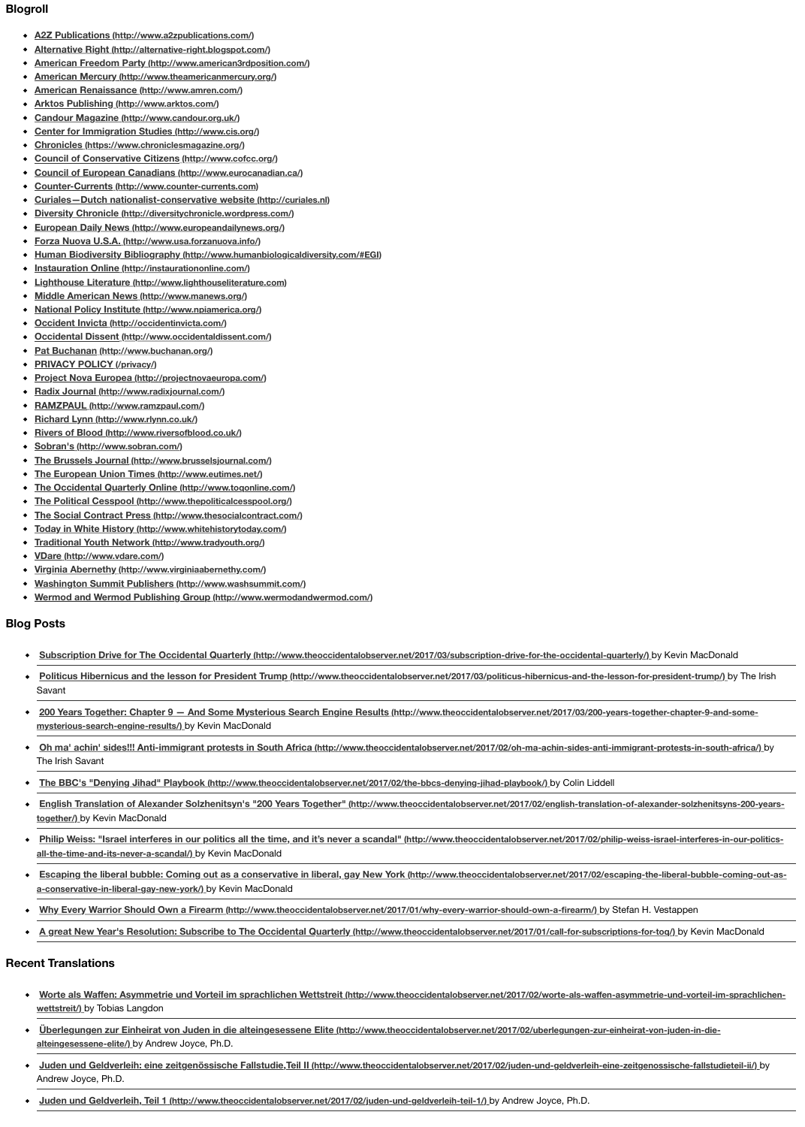- **VDare (http://www.vdare.com/)**
- **Virginia Abernethy (http://www.virginiaabernethy.com/)**
- **Washington Summit Publishers (http://www.washsummit.com/)**
- **[Wermod and Wermod Publishing Group \(http://ww](http://www.a2zpublications.com/)[w.w](http://alternative-right.blogspot.com/)ermodandwermod.com/)**

#### **Blog [Posts](http://www.american3rdposition.com/)**

- **[Subscription Drive for The Occidental Qu](http://www.arktos.com/)[arter](http://www.amren.com/)ly (http://www.theoccidentalobserver.net/2017/03/subscription-occidental-occidental-occidental-occidental-occidental-occidental-occidental-occidental-occidental-occidental-occi**
- **[Politicus Hibernicus and the lesson for Presid](http://www.candour.org.uk/)ent Trump (http://www.theoccidentalobserver.net/2017)** [Savant](http://www.cis.org/)
- **200 Years Together: Chapter 9 And Some Mysterious Search Engine Results (http://www.**  $\bullet$ **[mysterious-search-engine-results/\)](http://www.eurocanadian.ca/)** by Kevin MacDonald
- **[Oh ma' achin' sides!!! Anti-immigrant protests in](http://www.counter-currents.com/) [South Africa \(http](http://curiales.nl/)://www.theoccidentalobser/** [The Irish Savant](http://diversitychronicle.wordpress.com/)
- [The BBC's "Denying Jihad" Playbook \(http://www.theocc](http://www.europeandailynews.org/)identalobserver.net/2017/02/the-bbcs  $\bullet$
- **[English Translation of Alexander Solzhenitsyn](http://www.humanbiologicaldiversity.com/#EGI)['](http://www.usa.forzanuova.info/)[s "200 Years Together" \(http://w](http://www.humanbiologicaldiversity.com/#EGI)ww.theoccide**  $\bullet$ **together/)** [by Kevin MacDonald](http://instaurationonline.com/)
- **[Philip Weiss: "Israel interferes in our politics all the time](http://www.lighthouseliterature.com/), and it's never a scandal" (http://ww**  $\bullet$ **[all-the-time-and-its-never-a-scandal/\)](http://www.manews.org/)** by Kevin MacDonald
- **[Escaping the liberal bubble: Coming out as](http://occidentinvicta.com/) [a cons](http://www.npiamerica.org/)ervative in liberal, gay New York (http://w**  $\bullet$ **[a-conservative-in-liberal-gay-new-york/\)](http://www.occidentaldissent.com/)** by Kevin MacDonald
- **[Why Every Warrior Should Own a Firear](http://www.buchanan.org/)m (http://www.theoccidentalobserver.net/2017/01/why**
- **[A great New Year's Resolution: Subscribe to The Oc](http://projectnovaeuropa.com/)cidental Quarterly (http://www.theoccidentalogy Control August MacDonalde August August August August August August August August August August August August August August**

#### **Rece[nt Translations](http://www.ramzpaul.com/)**

- **Worte als Waff[en: Asymmetrie und Vorteil im s](http://www.riversofblood.co.uk/)prachlichen Wettstreit (http://www.theoccidental)**  $\bullet$ **wettstreit/)** [by Tobias Langdon](http://www.sobran.com/)
- **Uberlegungen zur Einheirat von Juden in die alteingesessene Elite (http://www.theoccidenta**  $\bullet$ **alteingesessene-elite/)** [by Andrew Joyce, Ph.D.](http://www.toqonline.com/)
- **Juden und Geldverleih: eine zeitgenössische Fallstudie, Teil II (http://www.theoccidentalobser** [Andrew Joyce, Ph.D.](http://www.whitehistorytoday.com/)
- **[Juden und Geldverleih, Teil 1 \(http://www.theocciden](http://www.tradyouth.org/)talobserver.net/2017/02/juden-und-geldverleicher**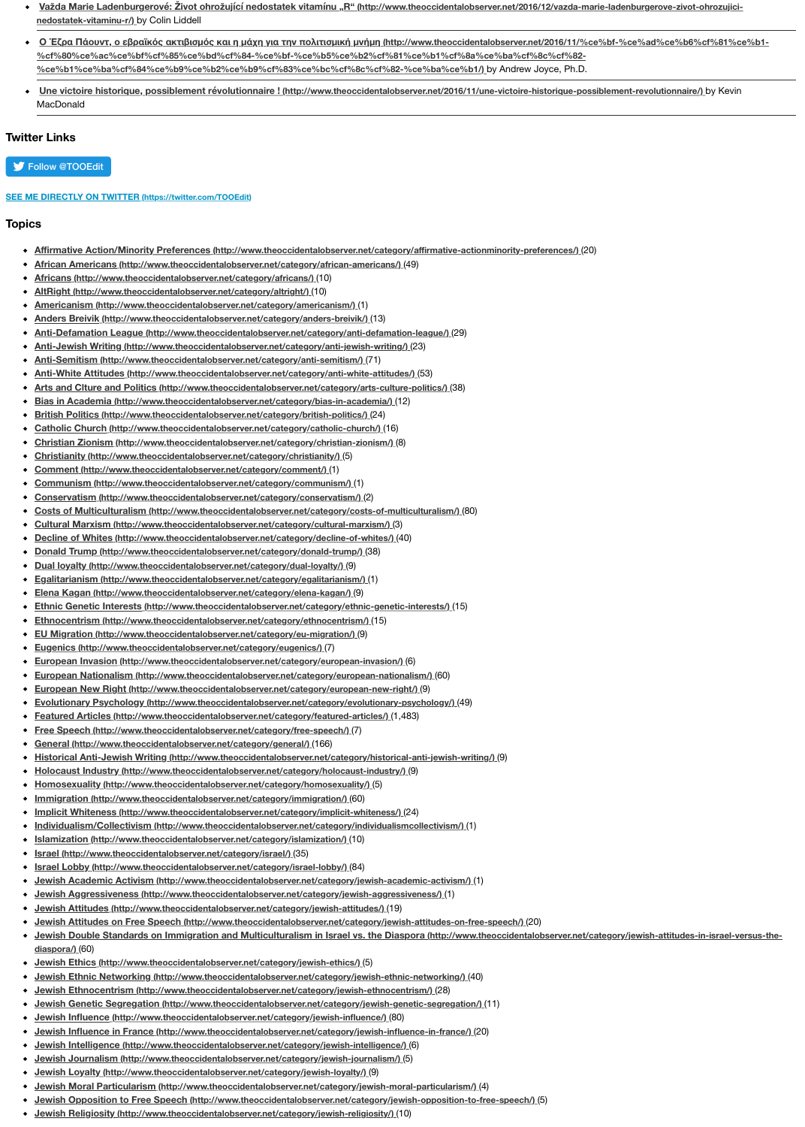- **Donald Trump (http://www.theoccidentalobserver.net/category/donald-trump/)** (38)
- **[Dual loyalty \(http://www.theoccidentalobserver.net/category/dual-loyalty/\)](http://www.theoccidentalobserver.net/2016/12/vazda-marie-ladenburgerove-zivot-ohrozujici-nedostatek-vitaminu-r/)** (9)
- $\bullet$ **Egalitarianism (http://www.theoccidentalobserver.net/category/egalitarianism/)** (1)
- **Elena Kagan (http://www.theoccidentalobserver.net/category/elena-kagan/)** (9)  $\bullet$
- **Ethnic Genetic Interests (http://www.theoccidentalobserver.net/category/ethnic-genetic-interests**  $\bullet$
- **Ethnocentrism (http://www.theoccidentalobserver.net/category/ethnocentrism/)** (15)  $\bullet$
- **EU Migration (http://www.theoccidentalobserver.net/category/eu-migration/)** (9)
- $\bullet$ **[Eugenics \(http://www.theoccidentalobserver.net/category/eugenics/\)](http://www.theoccidentalobserver.net/2016/11/une-victoire-historique-possiblement-revolutionnaire/)** (7)
- $\bullet$ **European Invasion (http://www.theoccidentalobserver.net/category/european-invasion/)** (6)
- **European Nationalism (http://www.theoccidentalobserver.net/category/european-nationalism/) (6**  $\bullet$
- **European New Right (http://www.theoccidentalobserver.net/category/european-new-right/)** (9)  $\bullet$
- **Evolutionary Psychology (http://www.theoccidentalobserver.net/category/evolutionary-psychology**
- **[Featured Articles](https://twitter.com/intent/follow?ref_src=twsrc%5Etfw®ion=follow_link&screen_name=TOOEdit&tw_p=followbutton) (http://www.theoccidentalobserver.net/category/featured-articles/)** (1,483)  $\bullet$
- **Free Speech (http://www.theoccidentalobserver.net/category/free-speech/)** (7)  $\bullet$
- $\bullet$ **General (http://www.theoccidentalobserver.net/category/general/)** (166)
- **[Historical Anti-Jewish Writing \(http://www.theoccid](https://twitter.com/TOOEdit)entalobserver.net/category/historical-anti-jewish-writing/)** (9)  $\bullet$
- **Holocaust Industry (http://www.theoccidentalobserver.net/category/holocaust-industry/)** (9)
- $\bullet$ **Homosexuality (http://www.theoccidentalobserver.net/category/homosexuality/)** (5)
- **Immigration (http://www.theoccidentalobserver.net/category/immigration/)** (60)  $\bullet$
- $\bullet$ **[Implicit Whiteness \(http://www.theoccidentalobserver.net/category/implicit-whiteness/\)](http://www.theoccidentalobserver.net/category/affirmative-actionminority-preferences/)** (24)
- **[Individualism/Collectivism \(http://www.theoccidentalobserver.net/category/individualism](http://www.theoccidentalobserver.net/category/african-americans/)collectivism/)** (1)  $\bullet$
- **[Islamization \(http://www.theoccidentalobserver.net/category/islamiz](http://www.theoccidentalobserver.net/category/africans/)ation/)** (10)
- $\bullet$ **[Israel \(http://www.theoccidentalobserver.net/category/israel/\)](http://www.theoccidentalobserver.net/category/altright/)** (35)
- **[Israel Lobby \(http://www.theoccidentalobserver.net/category/israel-lobby/\)](http://www.theoccidentalobserver.net/category/americanism/)** (84)  $\bullet$
- **[Jewish Academic Activism \(http://www.theoccidentalobserver.net/category/jew](http://www.theoccidentalobserver.net/category/anders-breivik/)ish-academic-activism-** $\bullet$
- **[Jewish Aggressiveness \(http://www.theoccidentalobserver.net/category/jewish-aggressiveness/\)](http://www.theoccidentalobserver.net/category/anti-defamation-league/)** (1)  $\bullet$
- **[Jewish Attitudes \(http://www.theoccidentalobserver.net/category/jewish-attitudes/\)](http://www.theoccidentalobserver.net/category/anti-jewish-writing/)** (19)
- **[Jewish Attitudes on Free Speech \(http://www.theoccidentalobserver.net/categ](http://www.theoccidentalobserver.net/category/anti-semitism/)ory/jewish-attitud**
- **[Jewish Double Standards on Immigration and Multiculturalism in Israel vs. the Diaspo](http://www.theoccidentalobserver.net/category/anti-white-attitudes/)ra (htt**  $\bullet$ **diaspora/)** (60)
- **[Jewish Ethics \(http://www.theoccidentalobserver.net/category/jewish-ethics/\)](http://www.theoccidentalobserver.net/category/bias-in-academia/)** (5)
- **[Jewish Ethnic Networking \(http://www.theoccidentalobserver.net/category/jewi](http://www.theoccidentalobserver.net/category/british-politics/)sh-ethnic-networking**
- **[Jewish Ethnocentrism \(http://www.theoccidentalobserver.net/category/jewish-ethn](http://www.theoccidentalobserver.net/category/catholic-church/)ocentrism/) (2**  $\bullet$
- **[Jewish Genetic Segregation \(http://www.theoccidentalobserver.net/category/jewish-g](http://www.theoccidentalobserver.net/category/christian-zionism/)enetic-seg**  $\bullet$
- **[Jewish Influence \(http://www.theoccidentalobserver.net/category/jewish-](http://www.theoccidentalobserver.net/category/christianity/)influence/)** (80)  $\bullet$
- **[Jewish Influence in France \(http://www.theoccidentalobserver.net/cat](http://www.theoccidentalobserver.net/category/comment/)egory/jewish-influence-in-1**  $\bullet$
- **[Jewish Intelligence \(http://www.theoccidentalobserver.net/category/jewish-i](http://www.theoccidentalobserver.net/category/communism/)ntelligence/)** (6)
- $\bullet$ **[Jewish Journalism \(http://www.theoccidentalobserver.net/category/jewish-jou](http://www.theoccidentalobserver.net/category/conservatism/)rnalism/)** (5)
- **[Jewish Loyalty \(http://www.theoccidentalobserver.net/category/jewish-loyalty/\)](http://www.theoccidentalobserver.net/category/costs-of-multiculturalism/)** (9)  $\bullet$
- **[Jewish Moral Particularism \(http://www.theoccidentalobserver.net/category/jewish-m](http://www.theoccidentalobserver.net/category/cultural-marxism/)oral-particularism/)** (4)  $\bullet$
- **[Jewish Opposition to Free Speech \(http://www.theoccidentalobserver.net/category/je](http://www.theoccidentalobserver.net/category/decline-of-whites/)wish-opposition to Free Speech (http://www.theoccidentalobserver.net/category/jewish-oppo**
- **[Jewish Religiosity \(http://www.theoccidentalobserver.net/category/jewish-relig](http://www.theoccidentalobserver.net/category/donald-trump/)iosity/) (10)**